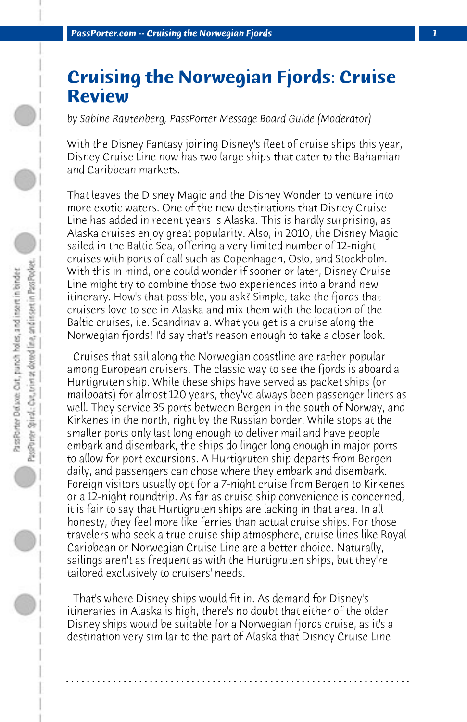## **Cruising the Norwegian Fjords: Cruise Review**

*by Sabine Rautenberg, PassPorter Message Board Guide (Moderator)*

With the Disney Fantasy joining Disney's fleet of cruise ships this year, Disney Cruise Line now has two large ships that cater to the Bahamian and Caribbean markets.

That leaves the Disney Magic and the Disney Wonder to venture into more exotic waters. One of the new destinations that Disney Cruise Line has added in recent years is Alaska. This is hardly surprising, as Alaska cruises enjoy great popularity. Also, in 2010, the Disney Magic sailed in the Baltic Sea, offering a very limited number of 12-night cruises with ports of call such as Copenhagen, Oslo, and Stockholm. With this in mind, one could wonder if sooner or later, Disney Cruise Line might try to combine those two experiences into a brand new itinerary. How's that possible, you ask? Simple, take the fjords that cruisers love to see in Alaska and mix them with the location of the Baltic cruises, i.e. Scandinavia. What you get is a cruise along the Norwegian fjords! I'd say that's reason enough to take a closer look.

 Cruises that sail along the Norwegian coastline are rather popular among European cruisers. The classic way to see the fjords is aboard a Hurtigruten ship. While these ships have served as packet ships (or mailboats) for almost 120 years, they've always been passenger liners as well. They service 35 ports between Bergen in the south of Norway, and Kirkenes in the north, right by the Russian border. While stops at the smaller ports only last long enough to deliver mail and have people embark and disembark, the ships do linger long enough in major ports to allow for port excursions. A Hurtigruten ship departs from Bergen daily, and passengers can chose where they embark and disembark. Foreign visitors usually opt for a 7-night cruise from Bergen to Kirkenes or a 12-night roundtrip. As far as cruise ship convenience is concerned, it is fair to say that Hurtigruten ships are lacking in that area. In all honesty, they feel more like ferries than actual cruise ships. For those travelers who seek a true cruise ship atmosphere, cruise lines like Royal Caribbean or Norwegian Cruise Line are a better choice. Naturally, sailings aren't as frequent as with the Hurtigruten ships, but they're tailored exclusively to cruisers' needs.

 That's where Disney ships would fit in. As demand for Disney's itineraries in Alaska is high, there's no doubt that either of the older Disney ships would be suitable for a Norwegian fjords cruise, as it's a destination very similar to the part of Alaska that Disney Cruise Line

**. . . . . . . . . . . . . . . . . . . . . . . . . . . . . . . . . . . . . . . . . . . . . . . . . . . . . . . . . . . . . . . . . .**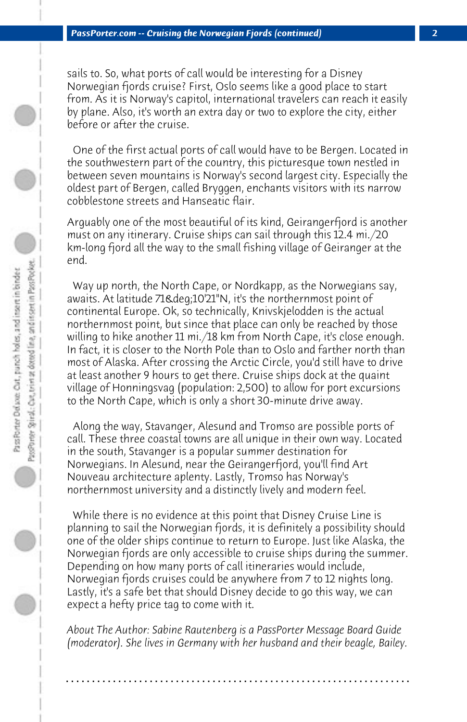sails to. So, what ports of call would be interesting for a Disney Norwegian fjords cruise? First, Oslo seems like a good place to start from. As it is Norway's capitol, international travelers can reach it easily by plane. Also, it's worth an extra day or two to explore the city, either before or after the cruise.

 One of the first actual ports of call would have to be Bergen. Located in the southwestern part of the country, this picturesque town nestled in between seven mountains is Norway's second largest city. Especially the oldest part of Bergen, called Bryggen, enchants visitors with its narrow cobblestone streets and Hanseatic flair.

Arguably one of the most beautiful of its kind, Geirangerfjord is another must on any itinerary. Cruise ships can sail through this 12.4 mi./20 km-long fjord all the way to the small fishing village of Geiranger at the end.

 Way up north, the North Cape, or Nordkapp, as the Norwegians say, awaits. At latitude 71&deq;10'21"N, it's the northernmost point of continental Europe. Ok, so technically, Knivskjelodden is the actual northernmost point, but since that place can only be reached by those willing to hike another 11 mi./18 km from North Cape, it's close enough. In fact, it is closer to the North Pole than to Oslo and farther north than most of Alaska. After crossing the Arctic Circle, you'd still have to drive at least another 9 hours to get there. Cruise ships dock at the quaint village of Honningsvag (population: 2,500) to allow for port excursions to the North Cape, which is only a short 30-minute drive away.

 Along the way, Stavanger, Alesund and Tromso are possible ports of call. These three coastal towns are all unique in their own way. Located in the south, Stavanger is a popular summer destination for Norwegians. In Alesund, near the Geirangerfjord, you'll find Art Nouveau architecture aplenty. Lastly, Tromso has Norway's northernmost university and a distinctly lively and modern feel.

 While there is no evidence at this point that Disney Cruise Line is planning to sail the Norwegian fjords, it is definitely a possibility should one of the older ships continue to return to Europe. Just like Alaska, the Norwegian fjords are only accessible to cruise ships during the summer. Depending on how many ports of call itineraries would include, Norwegian fjords cruises could be anywhere from 7 to 12 nights long. Lastly, it's a safe bet that should Disney decide to go this way, we can expect a hefty price tag to come with it.

*About The Author: Sabine Rautenberg is a PassPorter Message Board Guide (moderator). She lives in Germany with her husband and their beagle, Bailey.*

**. . . . . . . . . . . . . . . . . . . . . . . . . . . . . . . . . . . . . . . . . . . . . . . . . . . . . . . . . . . . . . . . . .**